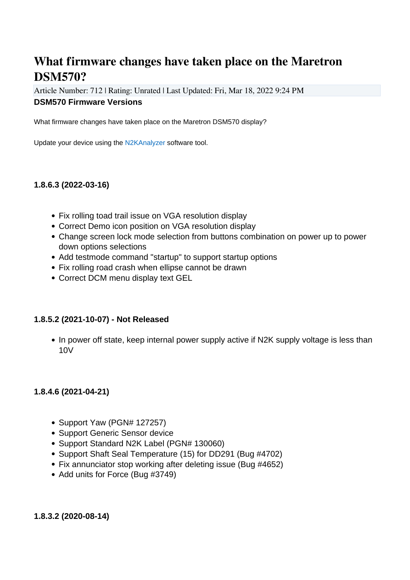# **What firmware changes have taken place on the Maretron DSM570?**

Article Number: 712 | Rating: Unrated | Last Updated: Fri, Mar 18, 2022 9:24 PM **DSM570 Firmware Versions**

What firmware changes have taken place on the Maretron DSM570 display?

Update your device using the [N2KAnalyzer](https://www.maretron.com/products/N2KAnalyzer.php) software tool.

## **1.8.6.3 (2022-03-16)**

- Fix rolling toad trail issue on VGA resolution display
- Correct Demo icon position on VGA resolution display
- Change screen lock mode selection from buttons combination on power up to power down options selections
- Add testmode command "startup" to support startup options
- Fix rolling road crash when ellipse cannot be drawn
- Correct DCM menu display text GEL

### **1.8.5.2 (2021-10-07) - Not Released**

• In power off state, keep internal power supply active if N2K supply voltage is less than 10V

### **1.8.4.6 (2021-04-21)**

- Support Yaw (PGN# 127257)
- Support Generic Sensor device
- Support Standard N2K Label (PGN# 130060)
- Support Shaft Seal Temperature (15) for DD291 (Bug #4702)
- Fix annunciator stop working after deleting issue (Bug #4652)
- Add units for Force (Bug #3749)

**1.8.3.2 (2020-08-14)**